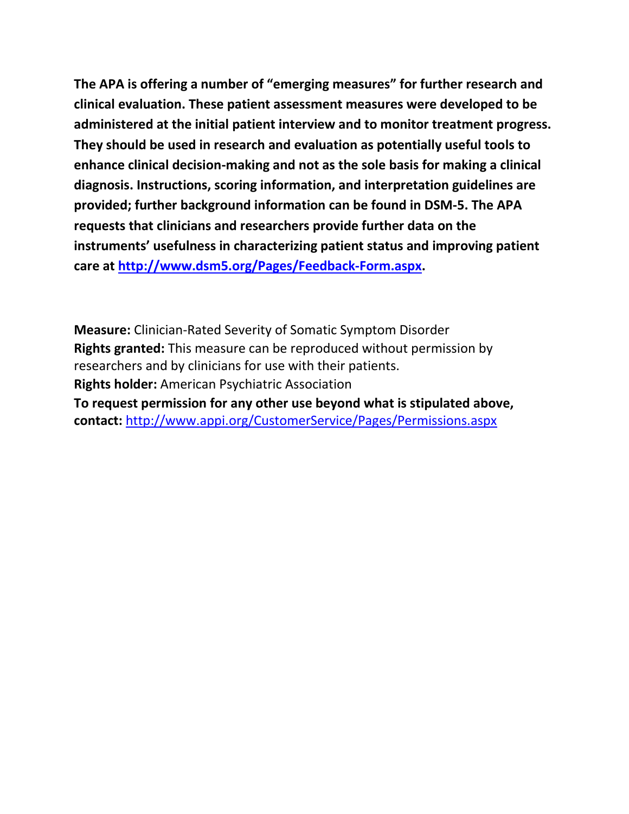**The APA is offering a number of "emerging measures" for further research and clinical evaluation. These patient assessment measures were developed to be administered at the initial patient interview and to monitor treatment progress. They should be used in research and evaluation as potentially useful tools to enhance clinical decision-making and not as the sole basis for making a clinical diagnosis. Instructions, scoring information, and interpretation guidelines are provided; further background information can be found in DSM-5. The APA requests that clinicians and researchers provide further data on the instruments' usefulness in characterizing patient status and improving patient care at [http://www.dsm5.org/Pages/Feedback-Form.aspx.](http://www.dsm5.org/Pages/Feedback-Form.aspx)**

**Measure:** Clinician-Rated Severity of Somatic Symptom Disorder **Rights granted:** This measure can be reproduced without permission by researchers and by clinicians for use with their patients. **Rights holder:** American Psychiatric Association **To request permission for any other use beyond what is stipulated above, contact:** <http://www.appi.org/CustomerService/Pages/Permissions.aspx>